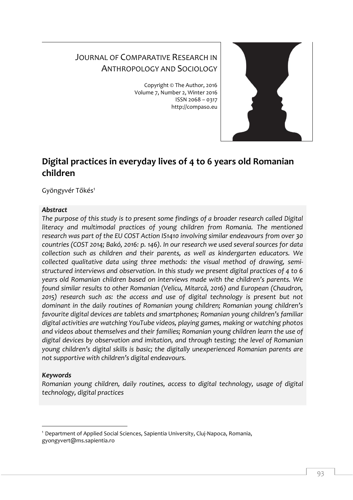# JOURNAL OF COMPARATIVE RESEARCH IN ANTHROPOLOGY AND SOCIOLOGY

Copyright © The Author, 2016 Volume 7, Number 2, Winter 2016 ISSN 2068 – 0317 http://compaso.eu



# **Digital practices in everyday lives of 4 to 6 years old Romanian children**

Gyöngyvér Tőkés<sup>1</sup>

# *Abstract*

*The purpose of this study is to present some findings of a broader research called Digital*  literacy and multimodal practices of young children from Romania. The mentioned *research was part of the EU COST Action IS1410 involving similar endeavours from over 30 countries (COST 2014; Bakó, 2016: p. 146). In our research we used several sources for data collection such as children and their parents, as well as kindergarten educators. We collected qualitative data using three methods: the visual method of drawing, semistructured interviews and observation. In this study we present digital practices of 4 to 6 years old Romanian children based on interviews made with the children's parents. We found similar results to other Romanian (Velicu, Mitarcă, 2016) and European (Chaudron, 2015) research such as: the access and use of digital technology is present but not dominant in the daily routines of Romanian young children; Romanian young children's favourite digital devices are tablets and smartphones; Romanian young children's familiar digital activities are watching YouTube videos, playing games, making or watching photos and videos about themselves and their families; Romanian young children learn the use of digital devices by observation and imitation, and through testing; the level of Romanian young children's digital skills is basic; the digitally unexperienced Romanian parents are not supportive with children's digital endeavours.* 

# *Keywords*

-

*Romanian young children, daily routines, access to digital technology, usage of digital technology, digital practices* 

<sup>1</sup> Department of Applied Social Sciences, Sapientia University, Cluj-Napoca, Romania, gyongyvert@ms.sapientia.ro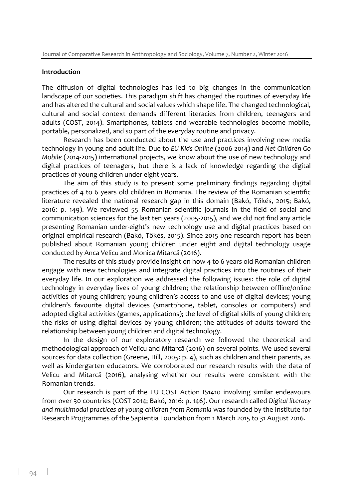## **Introduction**

The diffusion of digital technologies has led to big changes in the communication landscape of our societies. This paradigm shift has changed the routines of everyday life and has altered the cultural and social values which shape life. The changed technological, cultural and social context demands different literacies from children, teenagers and adults (COST, 2014). Smartphones, tablets and wearable technologies become mobile, portable, personalized, and so part of the everyday routine and privacy.

Research has been conducted about the use and practices involving new media technology in young and adult life. Due to *EU Kids Online* (2006-2014) and *Net Children Go Mobile* (2014-2015) international projects, we know about the use of new technology and digital practices of teenagers, but there is a lack of knowledge regarding the digital practices of young children under eight years.

The aim of this study is to present some preliminary findings regarding digital practices of 4 to 6 years old children in Romania. The review of the Romanian scientific literature revealed the national research gap in this domain (Bakó, Tőkés, 2015; Bakó, 2016: p. 149). We reviewed 55 Romanian scientific journals in the field of social and communication sciences for the last ten years (2005-2015), and we did not find any article presenting Romanian under-eight's new technology use and digital practices based on original empirical research (Bakó, Tőkés, 2015). Since 2015 one research report has been published about Romanian young children under eight and digital technology usage conducted by Anca Velicu and Monica Mitarcă (2016).

The results of this study provide insight on how 4 to 6 years old Romanian children engage with new technologies and integrate digital practices into the routines of their everyday life. In our exploration we addressed the following issues: the role of digital technology in everyday lives of young children; the relationship between offline/online activities of young children; young children's access to and use of digital devices; young children's favourite digital devices (smartphone, tablet, consoles or computers) and adopted digital activities (games, applications); the level of digital skills of young children; the risks of using digital devices by young children; the attitudes of adults toward the relationship between young children and digital technology.

In the design of our exploratory research we followed the theoretical and methodological approach of Velicu and Mitarcă (2016) on several points. We used several sources for data collection (Greene, Hill, 2005: p. 4), such as children and their parents, as well as kindergarten educators. We corroborated our research results with the data of Velicu and Mitarcă (2016), analysing whether our results were consistent with the Romanian trends.

Our research is part of the EU COST Action IS1410 involving similar endeavours from over 30 countries (COST 2014; Bakó, 2016: p. 146). Our research called *Digital literacy and multimodal practices of young children from Romania* was founded by the Institute for Research Programmes of the Sapientia Foundation from 1 March 2015 to 31 August 2016.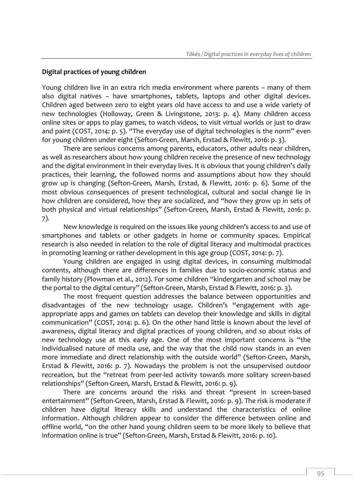# **Digital practices of young children**

Young children live in an extra rich media environment where parents – many of them also digital natives – have smartphones, tablets, laptops and other digital devices. Children aged between zero to eight years old have access to and use a wide variety of new technologies (Holloway, Green & Livingstone, 2013: p. 4). Many children access online sites or apps to play games, to watch videos, to visit virtual worlds or just to draw and paint (COST, 2014: p. 5). "The everyday use of digital technologies is the norm" even for young children under eight (Sefton-Green, Marsh, Erstad & Flewitt, 2016: p. 3).

There are serious concerns among parents, educators, other adults near children, as well as researchers about how young children receive the presence of new technology and the digital environment in their everyday lives. It is obvious that young children's daily practices, their learning, the followed norms and assumptions about how they should grow up is changing (Sefton-Green, Marsh, Erstad, & Flewitt, 2016: p. 6). Some of the most obvious consequences of present technological, cultural and social change lie in how children are considered, how they are socialized, and "how they grow up in sets of both physical and virtual relationships" (Sefton-Green, Marsh, Erstad & Flewitt, 2016: p. 7).

New knowledge is required on the issues like young children's access to and use of smartphones and tablets or other gadgets in home or community spaces. Empirical research is also needed in relation to the role of digital literacy and multimodal practices in promoting learning or rather development in this age group (COST, 2014: p. 7).

Young children are engaged in using digital devices, in consuming multimodal contents, although there are differences in families due to socio-economic status and family history (Plowman et al., 2012). For some children "kindergarten and school may be the portal to the digital century" (Sefton-Green, Marsh, Erstad & Flewitt, 2016: p. 3).

The most frequent question addresses the balance between opportunities and disadvantages of the new technology usage. Children's "engagement with ageappropriate apps and games on tablets can develop their knowledge and skills in digital communication" (COST, 2014: p. 6). On the other hand little is known about the level of awareness, digital literacy and digital practices of young children, and so about risks of new technology use at this early age. One of the most important concerns is "the individualised nature of media use, and the way that the child now stands in an even more immediate and direct relationship with the outside world" (Sefton-Green, Marsh, Erstad & Flewitt, 2016: p. 7). Nowadays the problem is not the unsupervised outdoor recreation, but the "retreat from peer-led activity towards more solitary screen-based relationships" (Sefton-Green, Marsh, Erstad & Flewitt, 2016: p. 9).

There are concerns around the risks and threat "present in screen-based entertainment" (Sefton-Green, Marsh, Erstad & Flewitt, 2016: p. 9). The risk is moderate if children have digital literacy skills and understand the characteristics of online information. Although children appear to consider the difference between online and offline world, "on the other hand young children seem to be more likely to believe that information online is true" (Sefton-Green, Marsh, Erstad & Flewitt, 2016: p. 10).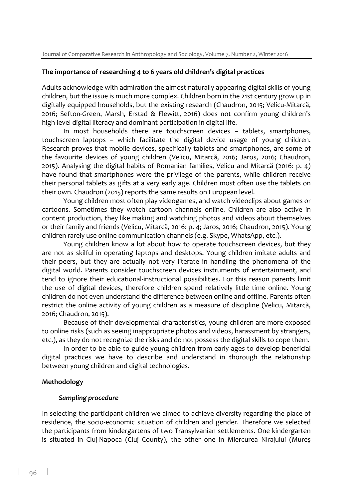## **The importance of researching 4 to 6 years old children's digital practices**

Adults acknowledge with admiration the almost naturally appearing digital skills of young children, but the issue is much more complex. Children born in the 21st century grow up in digitally equipped households, but the existing research (Chaudron, 2015; Velicu-Mitarcă, 2016; Sefton-Green, Marsh, Erstad & Flewitt, 2016) does not confirm young children's high-level digital literacy and dominant participation in digital life.

In most households there are touchscreen devices – tablets, smartphones, touchscreen laptops – which facilitate the digital device usage of young children. Research proves that mobile devices, specifically tablets and smartphones, are some of the favourite devices of young children (Velicu, Mitarcă, 2016; Jaros, 2016; Chaudron, 2015). Analysing the digital habits of Romanian families, Velicu and Mitarcă (2016: p. 4) have found that smartphones were the privilege of the parents, while children receive their personal tablets as gifts at a very early age. Children most often use the tablets on their own. Chaudron (2015) reports the same results on European level.

Young children most often play videogames, and watch videoclips about games or cartoons. Sometimes they watch cartoon channels online. Children are also active in content production, they like making and watching photos and videos about themselves or their family and friends (Velicu, Mitarcă, 2016: p. 4; Jaros, 2016; Chaudron, 2015). Young children rarely use online communication channels (e.g. Skype, WhatsApp, etc.).

Young children know a lot about how to operate touchscreen devices, but they are not as skilful in operating laptops and desktops. Young children imitate adults and their peers, but they are actually not very literate in handling the phenomena of the digital world. Parents consider touchscreen devices instruments of entertainment, and tend to ignore their educational-instructional possibilities. For this reason parents limit the use of digital devices, therefore children spend relatively little time online. Young children do not even understand the difference between online and offline. Parents often restrict the online activity of young children as a measure of discipline (Velicu, Mitarcă, 2016; Chaudron, 2015).

Because of their developmental characteristics, young children are more exposed to online risks (such as seeing inappropriate photos and videos, harassment by strangers, etc.), as they do not recognize the risks and do not possess the digital skills to cope them.

In order to be able to guide young children from early ages to develop beneficial digital practices we have to describe and understand in thorough the relationship between young children and digital technologies.

## **Methodology**

## *Sampling procedure*

In selecting the participant children we aimed to achieve diversity regarding the place of residence, the socio-economic situation of children and gender. Therefore we selected the participants from kindergartens of two Transylvanian settlements. One kindergarten is situated in Cluj-Napoca (Cluj County), the other one in Miercurea Nirajului (Mureș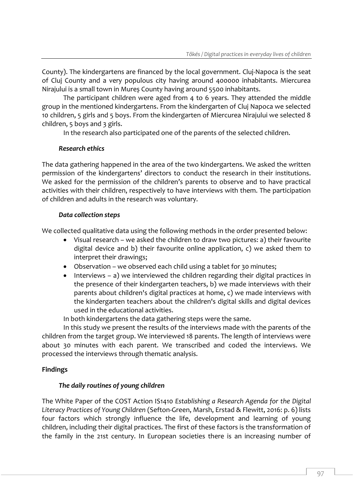County). The kindergartens are financed by the local government. Cluj-Napoca is the seat of Cluj County and a very populous city having around 400000 inhabitants. Miercurea Nirajului is a small town in Mureș County having around 5500 inhabitants.

The participant children were aged from 4 to 6 years. They attended the middle group in the mentioned kindergartens. From the kindergarten of Cluj Napoca we selected 10 children, 5 girls and 5 boys. From the kindergarten of Miercurea Nirajului we selected 8 children, 5 boys and 3 girls.

In the research also participated one of the parents of the selected children.

# *Research ethics*

The data gathering happened in the area of the two kindergartens. We asked the written permission of the kindergartens' directors to conduct the research in their institutions. We asked for the permission of the children's parents to observe and to have practical activities with their children, respectively to have interviews with them. The participation of children and adults in the research was voluntary.

# *Data collection steps*

We collected qualitative data using the following methods in the order presented below:

- Visual research we asked the children to draw two pictures: a) their favourite digital device and b) their favourite online application, c) we asked them to interpret their drawings;
- Observation we observed each child using a tablet for 30 minutes;
- Interviews a) we interviewed the children regarding their digital practices in the presence of their kindergarten teachers, b) we made interviews with their parents about children's digital practices at home, c) we made interviews with the kindergarten teachers about the children's digital skills and digital devices used in the educational activities.

In both kindergartens the data gathering steps were the same.

In this study we present the results of the interviews made with the parents of the children from the target group. We interviewed 18 parents. The length of interviews were about 30 minutes with each parent. We transcribed and coded the interviews. We processed the interviews through thematic analysis.

# **Findings**

# *The daily routines of young children*

The White Paper of the COST Action IS1410 *Establishing a Research Agenda for the Digital Literacy Practices of Young Children* (Sefton-Green, Marsh, Erstad & Flewitt, 2016: p. 6) lists four factors which strongly influence the life, development and learning of young children, including their digital practices. The first of these factors is the transformation of the family in the 21st century. In European societies there is an increasing number of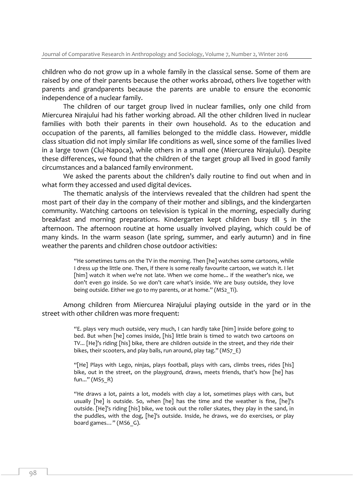children who do not grow up in a whole family in the classical sense. Some of them are raised by one of their parents because the other works abroad, others live together with parents and grandparents because the parents are unable to ensure the economic independence of a nuclear family.

The children of our target group lived in nuclear families, only one child from Miercurea Nirajului had his father working abroad. All the other children lived in nuclear families with both their parents in their own household. As to the education and occupation of the parents, all families belonged to the middle class. However, middle class situation did not imply similar life conditions as well, since some of the families lived in a large town (Cluj-Napoca), while others in a small one (Miercurea Nirajului). Despite these differences, we found that the children of the target group all lived in good family circumstances and a balanced family environment.

We asked the parents about the children's daily routine to find out when and in what form they accessed and used digital devices.

The thematic analysis of the interviews revealed that the children had spent the most part of their day in the company of their mother and siblings, and the kindergarten community. Watching cartoons on television is typical in the morning, especially during breakfast and morning preparations. Kindergarten kept children busy till 5 in the afternoon. The afternoon routine at home usually involved playing, which could be of many kinds. In the warm season (late spring, summer, and early autumn) and in fine weather the parents and children chose outdoor activities:

> "He sometimes turns on the TV in the morning. Then [he] watches some cartoons, while I dress up the little one. Then, if there is some really favourite cartoon, we watch it. I let [him] watch it when we're not late. When we come home... if the weather's nice, we don't even go inside. So we don't care what's inside. We are busy outside, they love being outside. Either we go to my parents, or at home." (MS2 Ti).

Among children from Miercurea Nirajului playing outside in the yard or in the street with other children was more frequent:

> "E. plays very much outside, very much, I can hardly take [him] inside before going to bed. But when [he] comes inside, [his] little brain is timed to watch two cartoons on TV... [He]'s riding [his] bike, there are children outside in the street, and they ride their bikes, their scooters, and play balls, run around, play tag." (MS7 E)

> "[He] Plays with Lego, ninjas, plays football, plays with cars, climbs trees, rides [his] bike, out in the street, on the playground, draws, meets friends, that's how [he] has fun..." (MS5\_R)

> "He draws a lot, paints a lot, models with clay a lot, sometimes plays with cars, but usually [he] is outside. So, when [he] has the time and the weather is fine, [he]'s outside. [He]'s riding [his] bike, we took out the roller skates, they play in the sand, in the puddles, with the dog, [he]'s outside. Inside, he draws, we do exercises, or play board games..." (MS6 G).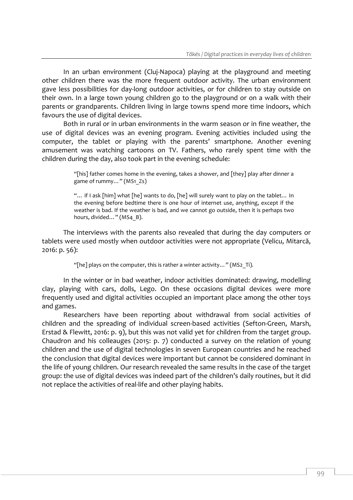In an urban environment (Cluj-Napoca) playing at the playground and meeting other children there was the more frequent outdoor activity. The urban environment gave less possibilities for day-long outdoor activities, or for children to stay outside on their own. In a large town young children go to the playground or on a walk with their parents or grandparents. Children living in large towns spend more time indoors, which favours the use of digital devices.

Both in rural or in urban environments in the warm season or in fine weather, the use of digital devices was an evening program. Evening activities included using the computer, the tablet or playing with the parents' smartphone. Another evening amusement was watching cartoons on TV. Fathers, who rarely spent time with the children during the day, also took part in the evening schedule:

> "[his] father comes home in the evening, takes a shower, and [they] play after dinner a game of rummy…" (MS1\_Zs)

> "… if I ask [him] what [he] wants to do, [he] will surely want to play on the tablet… In the evening before bedtime there is one hour of internet use, anything, except if the weather is bad. If the weather is bad, and we cannot go outside, then it is perhaps two hours, divided..." (MS4\_B).

The interviews with the parents also revealed that during the day computers or tablets were used mostly when outdoor activities were not appropriate (Velicu, Mitarcă, 2016: p. 56):

"[he] plays on the computer, this is rather a winter activity..." (MS2 Ti).

In the winter or in bad weather, indoor activities dominated: drawing, modelling clay, playing with cars, dolls, Lego. On these occasions digital devices were more frequently used and digital activities occupied an important place among the other toys and games.

Researchers have been reporting about withdrawal from social activities of children and the spreading of individual screen-based activities (Sefton-Green, Marsh, Erstad & Flewitt, 2016: p. 9), but this was not valid yet for children from the target group. Chaudron and his colleauges (2015: p. 7) conducted a survey on the relation of young children and the use of digital technologies in seven European countries and he reached the conclusion that digital devices were important but cannot be considered dominant in the life of young children. Our research revealed the same results in the case of the target group: the use of digital devices was indeed part of the children's daily routines, but it did not replace the activities of real-life and other playing habits.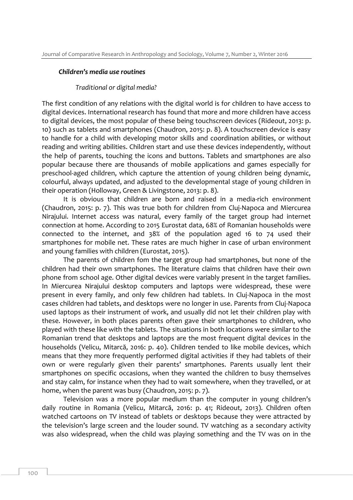#### *Children's media use routines*

#### *Traditional or digital media?*

The first condition of any relations with the digital world is for children to have access to digital devices. International research has found that more and more children have access to digital devices, the most popular of these being touchscreen devices (Rideout, 2013: p. 10) such as tablets and smartphones (Chaudron, 2015: p. 8). A touchscreen device is easy to handle for a child with developing motor skills and coordination abilities, or without reading and writing abilities. Children start and use these devices independently, without the help of parents, touching the icons and buttons. Tablets and smartphones are also popular because there are thousands of mobile applications and games especially for preschool-aged children, which capture the attention of young children being dynamic, colourful, always updated, and adjusted to the developmental stage of young children in their operation (Holloway, Green & Livingstone, 2013: p. 8).

It is obvious that children are born and raised in a media-rich environment (Chaudron, 2015: p. 7). This was true both for children from Cluj-Napoca and Miercurea Nirajului. Internet access was natural, every family of the target group had internet connection at home. According to 2015 Eurostat data, 68% of Romanian households were connected to the internet, and 38% of the population aged 16 to 74 used their smartphones for mobile net. These rates are much higher in case of urban environment and young families with children (Eurostat, 2015).

The parents of children fom the target group had smartphones, but none of the children had their own smartphones. The literature claims that children have their own phone from school age. Other digital devices were variably present in the target families. In Miercurea Nirajului desktop computers and laptops were widespread, these were present in every family, and only few children had tablets. In Cluj-Napoca in the most cases children had tablets, and desktops were no longer in use. Parents from Cluj-Napoca used laptops as their instrument of work, and usually did not let their children play with these. However, in both places parents often gave their smartphones to children, who played with these like with the tablets. The situations in both locations were similar to the Romanian trend that desktops and laptops are the most frequent digital devices in the households (Velicu, Mitarcă, 2016: p. 40). Children tended to like mobile devices, which means that they more frequently performed digital activities if they had tablets of their own or were regularly given their parents' smartphones. Parents usually lent their smartphones on specific occasions, when they wanted the children to busy themselves and stay calm, for instance when they had to wait somewhere, when they travelled, or at home, when the parent was busy (Chaudron, 2015: p. 7).

Television was a more popular medium than the computer in young children's daily routine in Romania (Velicu, Mitarcă, 2016: p. 41; Rideout, 2013). Children often watched cartoons on TV instead of tablets or desktops because they were attracted by the television's large screen and the louder sound. TV watching as a secondary activity was also widespread, when the child was playing something and the TV was on in the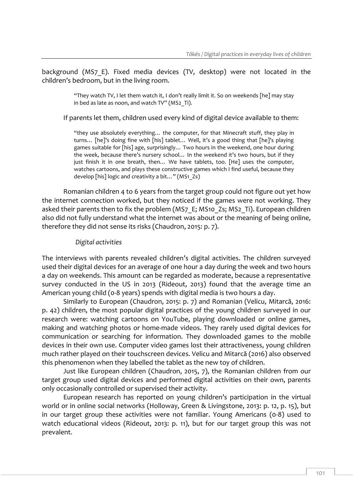background (MS7 E). Fixed media devices (TV, desktop) were not located in the children's bedroom, but in the living room.

> "They watch TV, I let them watch it, I don't really limit it. So on weekends [he] may stay in bed as late as noon, and watch TV" (MS2\_Ti).

If parents let them, children used every kind of digital device available to them:

"they use absolutely everything… the computer, for that Minecraft stuff, they play in turns… [he]'s doing fine with [his] tablet… Well, it's a good thing that [he]'s playing games suitable for [his] age, surprisingly… Two hours in the weekend, one hour during the week, because there's nursery school… In the weekend it's two hours, but if they just finish it in one breath, then... We have tablets, too. [He] uses the computer, watches cartoons, and plays these constructive games which I find useful, because they develop [his] logic and creativity a bit…" (MS1\_Zs)

Romanian children 4 to 6 years from the target group could not figure out yet how the internet connection worked, but they noticed if the games were not working. They asked their parents then to fix the problem (MS7 E; MS10 Zs; MS2 Ti). European children also did not fully understand what the internet was about or the meaning of being online, therefore they did not sense its risks (Chaudron, 2015: p. 7).

## *Digital activities*

The interviews with parents revealed children's digital activities. The children surveyed used their digital devices for an average of one hour a day during the week and two hours a day on weekends. This amount can be regarded as moderate, because a representative survey conducted in the US in 2013 (Rideout, 2013) found that the average time an American young child (0-8 years) spends with digital media is two hours a day.

Similarly to European (Chaudron, 2015: p. 7) and Romanian (Velicu, Mitarcă, 2016: p. 42) children, the most popular digital practices of the young children surveyed in our research were: watching cartoons on YouTube, playing downloaded or online games, making and watching photos or home-made videos. They rarely used digital devices for communication or searching for information. They downloaded games to the mobile devices in their own use. Computer video games lost their attractiveness, young children much rather played on their touchscreen devices. Velicu and Mitarcă (2016) also observed this phenomenon when they labelled the tablet as the new toy of children.

Just like European children (Chaudron, 2015, 7), the Romanian children from our target group used digital devices and performed digital activities on their own, parents only occasionally controlled or supervised their activity.

European research has reported on young children's participation in the virtual world or in online social networks (Holloway, Green & Livingstone, 2013: p. 12, p. 15), but in our target group these activities were not familiar. Young Americans (0-8) used to watch educational videos (Rideout, 2013: p. 11), but for our target group this was not prevalent.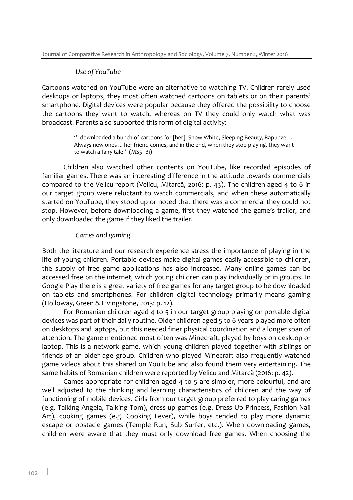#### *Use of YouTube*

Cartoons watched on YouTube were an alternative to watching TV. Children rarely used desktops or laptops, they most often watched cartoons on tablets or on their parents' smartphone. Digital devices were popular because they offered the possibility to choose the cartoons they want to watch, whereas on TV they could only watch what was broadcast. Parents also supported this form of digital activity:

> "I downloaded a bunch of cartoons for [her], Snow White, Sleeping Beauty, Rapunzel ... Always new ones ... her friend comes, and in the end, when they stop playing, they want to watch a fairy tale." (MS5 Bi)

Children also watched other contents on YouTube, like recorded episodes of familiar games. There was an interesting difference in the attitude towards commercials compared to the Velicu-report (Velicu, Mitarcă, 2016: p. 43). The children aged 4 to 6 in our target group were reluctant to watch commercials, and when these automatically started on YouTube, they stood up or noted that there was a commercial they could not stop. However, before downloading a game, first they watched the game's trailer, and only downloaded the game if they liked the trailer.

#### *Games and gaming*

Both the literature and our research experience stress the importance of playing in the life of young children. Portable devices make digital games easily accessible to children, the supply of free game applications has also increased. Many online games can be accessed free on the internet, which young children can play individually or in groups. In Google Play there is a great variety of free games for any target group to be downloaded on tablets and smartphones. For children digital technology primarily means gaming (Holloway, Green & Livingstone, 2013: p. 12).

For Romanian children aged 4 to 5 in our target group playing on portable digital devices was part of their daily routine. Older children aged 5 to 6 years played more often on desktops and laptops, but this needed finer physical coordination and a longer span of attention. The game mentioned most often was Minecraft, played by boys on desktop or laptop. This is a network game, which young children played together with siblings or friends of an older age group. Children who played Minecraft also frequently watched game videos about this shared on YouTube and also found them very entertaining. The same habits of Romanian children were reported by Velicu and Mitarcă (2016: p. 42).

Games appropriate for children aged 4 to 5 are simpler, more colourful, and are well adjusted to the thinking and learning characteristics of children and the way of functioning of mobile devices. Girls from our target group preferred to play caring games (e.g. Talking Angela, Talking Tom), dress-up games (e.g. Dress Up Princess, Fashion Nail Art), cooking games (e.g. Cooking Fever), while boys tended to play more dynamic escape or obstacle games (Temple Run, Sub Surfer, etc.). When downloading games, children were aware that they must only download free games. When choosing the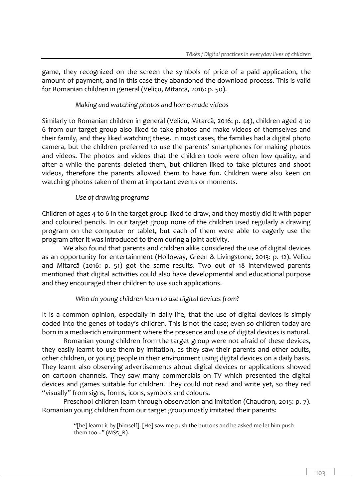game, they recognized on the screen the symbols of price of a paid application, the amount of payment, and in this case they abandoned the download process. This is valid for Romanian children in general (Velicu, Mitarcă, 2016: p. 50).

# *Making and watching photos and home-made videos*

Similarly to Romanian children in general (Velicu, Mitarcă, 2016: p. 44), children aged 4 to 6 from our target group also liked to take photos and make videos of themselves and their family, and they liked watching these. In most cases, the families had a digital photo camera, but the children preferred to use the parents' smartphones for making photos and videos. The photos and videos that the children took were often low quality, and after a while the parents deleted them, but children liked to take pictures and shoot videos, therefore the parents allowed them to have fun. Children were also keen on watching photos taken of them at important events or moments.

# *Use of drawing programs*

Children of ages 4 to 6 in the target group liked to draw, and they mostly did it with paper and coloured pencils. In our target group none of the children used regularly a drawing program on the computer or tablet, but each of them were able to eagerly use the program after it was introduced to them during a joint activity.

We also found that parents and children alike considered the use of digital devices as an opportunity for entertainment (Holloway, Green & Livingstone, 2013: p. 12). Velicu and Mitarcă (2016: p. 51) got the same results. Two out of 18 interviewed parents mentioned that digital activities could also have developmental and educational purpose and they encouraged their children to use such applications.

## *Who do young children learn to use digital devices from?*

It is a common opinion, especially in daily life, that the use of digital devices is simply coded into the genes of today's children. This is not the case; even so children today are born in a media-rich environment where the presence and use of digital devices is natural.

Romanian young children from the target group were not afraid of these devices, they easily learnt to use them by imitation, as they saw their parents and other adults, other children, or young people in their environment using digital devices on a daily basis. They learnt also observing advertisements about digital devices or applications showed on cartoon channels. They saw many commercials on TV which presented the digital devices and games suitable for children. They could not read and write yet, so they red "visually" from signs, forms, icons, symbols and colours.

Preschool children learn through observation and imitation (Chaudron, 2015: p. 7). Romanian young children from our target group mostly imitated their parents:

> "[he] learnt it by [himself]. [He] saw me push the buttons and he asked me let him push them too..." (MS5  $R$ ).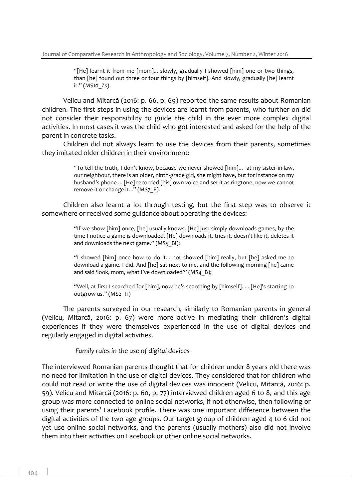"[He] learnt it from me [mom]... slowly, gradually I showed [him] one or two things, than [he] found out three or four things by [himself]. And slowly, gradually [he] learnt it." (MS10\_Zs).

Velicu and Mitarcă (2016: p. 66, p. 69) reported the same results about Romanian children. The first steps in using the devices are learnt from parents, who further on did not consider their responsibility to guide the child in the ever more complex digital activities. In most cases it was the child who got interested and asked for the help of the parent in concrete tasks.

Children did not always learn to use the devices from their parents, sometimes they imitated older children in their environment:

> "To tell the truth, I don't know, because we never showed [him]... at my sister-in-law, our neighbour, there is an older, ninth-grade girl, she might have, but for instance on my husband's phone ... [He] recorded [his] own voice and set it as ringtone, now we cannot remove it or change it..." (MS7 E).

Children also learnt a lot through testing, but the first step was to observe it somewhere or received some guidance about operating the devices:

> "If we show [him] once, [he] usually knows. [He] just simply downloads games, by the time I notice a game is downloaded. [He] downloads it, tries it, doesn't like it, deletes it and downloads the next game." (MS5 Bi);

> "I showed [him] once how to do it... not showed [him] really, but [he] asked me to download a game. I did. And [he] sat next to me, and the following morning [he] came and said 'look, mom, what I've downloaded'" (MS4\_B);

> "Well, at first I searched for [him], now he's searching by [himself]. ... [He]'s starting to outgrow us." (MS2\_Ti)

The parents surveyed in our research, similarly to Romanian parents in general (Velicu, Mitarcă, 2016: p. 67) were more active in mediating their children's digital experiences if they were themselves experienced in the use of digital devices and regularly engaged in digital activities.

*Family rules in the use of digital devices* 

The interviewed Romanian parents thought that for children under 8 years old there was no need for limitation in the use of digital devices. They considered that for children who could not read or write the use of digital devices was innocent (Velicu, Mitarcă, 2016: p. 59). Velicu and Mitarcă (2016: p. 60, p. 77) interviewed children aged 6 to 8, and this age group was more connected to online social networks, if not otherwise, then following or using their parents' Facebook profile. There was one important difference between the digital activities of the two age groups. Our target group of children aged 4 to 6 did not yet use online social networks, and the parents (usually mothers) also did not involve them into their activities on Facebook or other online social networks.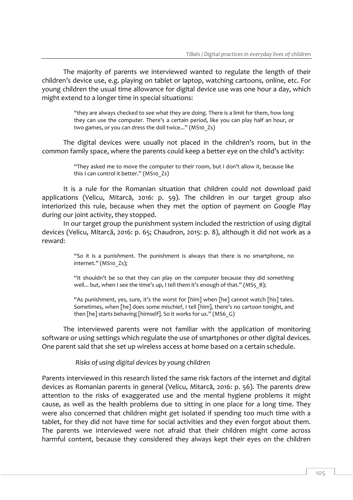The majority of parents we interviewed wanted to regulate the length of their children's device use, e.g. playing on tablet or laptop, watching cartoons, online, etc. For young children the usual time allowance for digital device use was one hour a day, which might extend to a longer time in special situations:

> "they are always checked to see what they are doing. There is a limit for them, how long they can use the computer. There's a certain period, like you can play half an hour, or two games, or you can dress the doll twice..." (MS10\_Zs)

The digital devices were usually not placed in the children's room, but in the common family space, where the parents could keep a better eye on the child's activity:

> "They asked me to move the computer to their room, but I don't allow it, because like this I can control it better." (MS10\_Zs)

It is a rule for the Romanian situation that children could not download paid applications (Velicu, Mitarcă, 2016: p. 59). The children in our target group also interiorized this rule, because when they met the option of payment on Google Play during our joint activity, they stopped.

In our target group the punishment system included the restriction of using digital devices (Velicu, Mitarcă, 2016: p. 65; Chaudron, 2015: p. 8), although it did not work as a reward:

> "So it is a punishment. The punishment is always that there is no smartphone, no internet." (MS10\_Zs);

> "It shouldn't be so that they can play on the computer because they did something well... but, when I see the time's up, I tell them it's enough of that." (MS5 B);

> "As punishment, yes, sure, it's the worst for [him] when [he] cannot watch [his] tales. Sometimes, when [he] does some mischief, I tell [him], there's no cartoon tonight, and then [he] starts behaving [himself]. So it works for us." (MS6\_G)

The interviewed parents were not familiar with the application of monitoring software or using settings which regulate the use of smartphones or other digital devices. One parent said that she set up wireless access at home based on a certain schedule.

*Risks of using digital devices by young children*

Parents interviewed in this research listed the same risk factors of the internet and digital devices as Romanian parents in general (Velicu, Mitarcă, 2016: p. 56). The parents drew attention to the risks of exaggerated use and the mental hygiene problems it might cause, as well as the health problems due to sitting in one place for a long time. They were also concerned that children might get isolated if spending too much time with a tablet, for they did not have time for social activities and they even forgot about them. The parents we interviewed were not afraid that their children might come across harmful content, because they considered they always kept their eyes on the children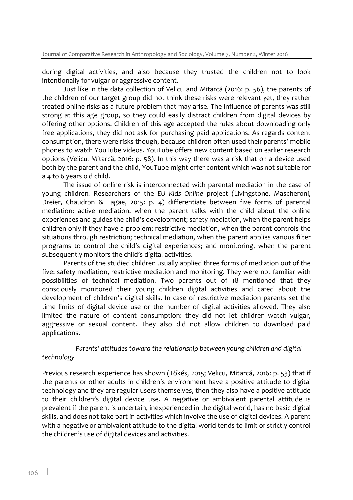during digital activities, and also because they trusted the children not to look intentionally for vulgar or aggressive content.

Just like in the data collection of Velicu and Mitarcă (2016: p. 56), the parents of the children of our target group did not think these risks were relevant yet, they rather treated online risks as a future problem that may arise. The influence of parents was still strong at this age group, so they could easily distract children from digital devices by offering other options. Children of this age accepted the rules about downloading only free applications, they did not ask for purchasing paid applications. As regards content consumption, there were risks though, because children often used their parents' mobile phones to watch YouTube videos. YouTube offers new content based on earlier research options (Velicu, Mitarcă, 2016: p. 58). In this way there was a risk that on a device used both by the parent and the child, YouTube might offer content which was not suitable for a 4 to 6 years old child.

The issue of online risk is interconnected with parental mediation in the case of young children. Researchers of the *EU Kids Online* project (Livingstone, Mascheroni, Dreier, Chaudron & Lagae, 2015: p. 4) differentiate between five forms of parental mediation: active mediation, when the parent talks with the child about the online experiences and guides the child's development; safety mediation, when the parent helps children only if they have a problem; restrictive mediation, when the parent controls the situations through restriction; technical mediation, when the parent applies various filter programs to control the child's digital experiences; and monitoring, when the parent subsequently monitors the child's digital activities.

Parents of the studied children usually applied three forms of mediation out of the five: safety mediation, restrictive mediation and monitoring. They were not familiar with possibilities of technical mediation. Two parents out of 18 mentioned that they consciously monitored their young children digital activities and cared about the development of children's digital skills. In case of restrictive mediation parents set the time limits of digital device use or the number of digital activities allowed. They also limited the nature of content consumption: they did not let children watch vulgar, aggressive or sexual content. They also did not allow children to download paid applications.

# *Parents' attitudes toward the relationship between young children and digital technology*

Previous research experience has shown (Tőkés, 2015; Velicu, Mitarcă, 2016: p. 53) that if the parents or other adults in children's environment have a positive attitude to digital technology and they are regular users themselves, then they also have a positive attitude to their children's digital device use. A negative or ambivalent parental attitude is prevalent if the parent is uncertain, inexperienced in the digital world, has no basic digital skills, and does not take part in activities which involve the use of digital devices. A parent with a negative or ambivalent attitude to the digital world tends to limit or strictly control the children's use of digital devices and activities.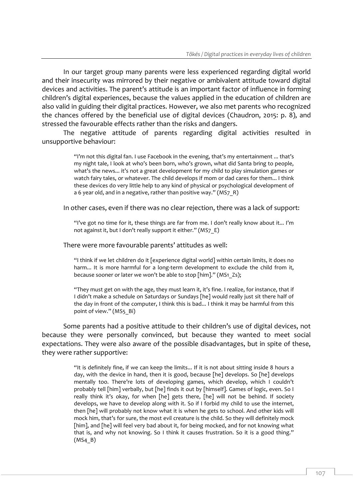In our target group many parents were less experienced regarding digital world and their insecurity was mirrored by their negative or ambivalent attitude toward digital devices and activities. The parent's attitude is an important factor of influence in forming children's digital experiences, because the values applied in the education of children are also valid in guiding their digital practices. However, we also met parents who recognized the chances offered by the beneficial use of digital devices (Chaudron, 2015: p. 8), and stressed the favourable effects rather than the risks and dangers.

The negative attitude of parents regarding digital activities resulted in unsupportive behaviour:

> "I'm not this digital fan. I use Facebook in the evening, that's my entertainment ... that's my night tale, I look at who's been born, who's grown, what did Santa bring to people, what's the news... it's not a great development for my child to play simulation games or watch fairy tales, or whatever. The child develops if mom or dad cares for them... I think these devices do very little help to any kind of physical or psychological development of a 6 year old, and in a negative, rather than positive way." (MS7 R)

In other cases, even if there was no clear rejection, there was a lack of support:

"I've got no time for it, these things are far from me. I don't really know about it... I'm not against it, but I don't really support it either." (MS7 E)

#### There were more favourable parents' attitudes as well:

"I think if we let children do it [experience digital world] within certain limits, it does no harm... It is more harmful for a long-term development to exclude the child from it, because sooner or later we won't be able to stop [him]." (MS1\_Zs);

"They must get on with the age, they must learn it, it's fine. I realize, for instance, that if I didn't make a schedule on Saturdays or Sundays [he] would really just sit there half of the day in front of the computer, I think this is bad... I think it may be harmful from this point of view." (MS5\_Bi)

Some parents had a positive attitude to their children's use of digital devices, not because they were personally convinced, but because they wanted to meet social expectations. They were also aware of the possible disadvantages, but in spite of these, they were rather supportive:

> "It is definitely fine, if we can keep the limits... If it is not about sitting inside 8 hours a day, with the device in hand, then it is good, because [he] develops. So [he] develops mentally too. There're lots of developing games, which develop, which I couldn't probably tell [him] verbally, but [he] finds it out by [himself]. Games of logic, even. So I really think it's okay, for when [he] gets there, [he] will not be behind. If society develops, we have to develop along with it. So if I forbid my child to use the internet, then [he] will probably not know what it is when he gets to school. And other kids will mock him, that's for sure, the most evil creature is the child. So they will definitely mock [him], and [he] will feel very bad about it, for being mocked, and for not knowing what that is, and why not knowing. So I think it causes frustration. So it is a good thing."  $(MS4 B)$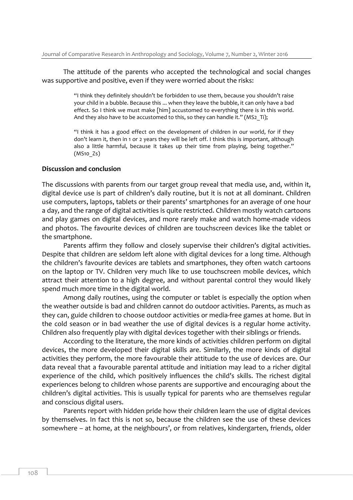The attitude of the parents who accepted the technological and social changes was supportive and positive, even if they were worried about the risks:

> "I think they definitely shouldn't be forbidden to use them, because you shouldn't raise your child in a bubble. Because this ... when they leave the bubble, it can only have a bad effect. So I think we must make [him] accustomed to everything there is in this world. And they also have to be accustomed to this, so they can handle it." (MS2\_Ti);

> "I think it has a good effect on the development of children in our world, for if they don't learn it, then in 1 or 2 years they will be left off. I think this is important, although also a little harmful, because it takes up their time from playing, being together." (MS10\_Zs)

#### **Discussion and conclusion**

The discussions with parents from our target group reveal that media use, and, within it, digital device use is part of children's daily routine, but it is not at all dominant. Children use computers, laptops, tablets or their parents' smartphones for an average of one hour a day, and the range of digital activities is quite restricted. Children mostly watch cartoons and play games on digital devices, and more rarely make and watch home-made videos and photos. The favourite devices of children are touchscreen devices like the tablet or the smartphone.

Parents affirm they follow and closely supervise their children's digital activities. Despite that children are seldom left alone with digital devices for a long time. Although the children's favourite devices are tablets and smartphones, they often watch cartoons on the laptop or TV. Children very much like to use touchscreen mobile devices, which attract their attention to a high degree, and without parental control they would likely spend much more time in the digital world.

Among daily routines, using the computer or tablet is especially the option when the weather outside is bad and children cannot do outdoor activities. Parents, as much as they can, guide children to choose outdoor activities or media-free games at home. But in the cold season or in bad weather the use of digital devices is a regular home activity. Children also frequently play with digital devices together with their siblings or friends.

According to the literature, the more kinds of activities children perform on digital devices, the more developed their digital skills are. Similarly, the more kinds of digital activities they perform, the more favourable their attitude to the use of devices are. Our data reveal that a favourable parental attitude and initiation may lead to a richer digital experience of the child, which positively influences the child's skills. The richest digital experiences belong to children whose parents are supportive and encouraging about the children's digital activities. This is usually typical for parents who are themselves regular and conscious digital users.

Parents report with hidden pride how their children learn the use of digital devices by themselves. In fact this is not so, because the children see the use of these devices somewhere – at home, at the neighbours', or from relatives, kindergarten, friends, older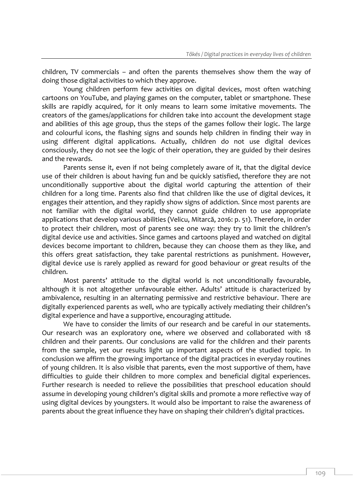children, TV commercials – and often the parents themselves show them the way of doing those digital activities to which they approve.

Young children perform few activities on digital devices, most often watching cartoons on YouTube, and playing games on the computer, tablet or smartphone. These skills are rapidly acquired, for it only means to learn some imitative movements. The creators of the games/applications for children take into account the development stage and abilities of this age group, thus the steps of the games follow their logic. The large and colourful icons, the flashing signs and sounds help children in finding their way in using different digital applications. Actually, children do not use digital devices consciously, they do not see the logic of their operation, they are guided by their desires and the rewards.

Parents sense it, even if not being completely aware of it, that the digital device use of their children is about having fun and be quickly satisfied, therefore they are not unconditionally supportive about the digital world capturing the attention of their children for a long time. Parents also find that children like the use of digital devices, it engages their attention, and they rapidly show signs of addiction. Since most parents are not familiar with the digital world, they cannot guide children to use appropriate applications that develop various abilities (Velicu, Mitarcă, 2016: p. 51). Therefore, in order to protect their children, most of parents see one way: they try to limit the children's digital device use and activities. Since games and cartoons played and watched on digital devices become important to children, because they can choose them as they like, and this offers great satisfaction, they take parental restrictions as punishment. However, digital device use is rarely applied as reward for good behaviour or great results of the children.

Most parents' attitude to the digital world is not unconditionally favourable, although it is not altogether unfavourable either. Adults' attitude is characterized by ambivalence, resulting in an alternating permissive and restrictive behaviour. There are digitally experienced parents as well, who are typically actively mediating their children's digital experience and have a supportive, encouraging attitude.

We have to consider the limits of our research and be careful in our statements. Our research was an exploratory one, where we observed and collaborated with 18 children and their parents. Our conclusions are valid for the children and their parents from the sample, yet our results light up important aspects of the studied topic. In conclusion we affirm the growing importance of the digital practices in everyday routines of young children. It is also visible that parents, even the most supportive of them, have difficulties to guide their children to more complex and beneficial digital experiences. Further research is needed to relieve the possibilities that preschool education should assume in developing young children's digital skills and promote a more reflective way of using digital devices by youngsters. It would also be important to raise the awareness of parents about the great influence they have on shaping their children's digital practices.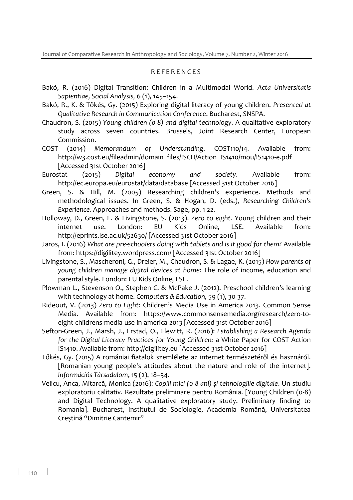## R E F E R E N C E S

- Bakó, R. (2016) Digital Transition: Children in a Multimodal World. *Acta Universitatis Sapientiae, Social Analysis,* 6 (1), 145–154.
- Bakó, R., K. & Tőkés, Gy. (2015) Exploring digital literacy of young children. *Presented at Qualitative Research in Communication Conference*. Bucharest, SNSPA.
- Chaudron, S. (2015) *Young children (0-8) and digital technology*. A qualitative exploratory study across seven countries. Brussels, Joint Research Center, European Commission.
- COST (2014) *Memorandum of Understanding*. COST110/14. Available from: [http://w3.cost.eu/fileadmin/domain\\_files/ISCH/Action\\_IS1410/mou/IS1410-e.pdf](http://w3.cost.eu/fileadmin/domain_files/ISCH/Action_IS1410/mou/IS1410-e.pdf) [Accessed 31st October 2016]
- Eurostat (2015) *Digital economy and society*. Available from: <http://ec.europa.eu/eurostat/data/database> [Accessed 31st October 2016]
- Green, S. & Hill, M. (2005) Researching children's experience. Methods and methodological issues. In Green, S. & Hogan, D. (eds.), *Researching Children's Experience.* Approaches and methods. Sage, pp. 1-22.
- Holloway, D., Green, L. & Livingstone, S. (2013). *Zero to eight.* Young children and their internet use. London: EU Kids Online, LSE. Available from: <http://eprints.lse.ac.uk/52630/> [Accessed 31st October 2016]
- Jaros, I. (2016) *What are pre-schoolers doing with tablets and is it good for them?* Available from:<https://digilitey.wordpress.com/> [Accessed 31st October 2016]
- Livingstone, S., Mascheroni, G., Dreier, M., Chaudron, S. & Lagae, K. (2015) *How parents of young children manage digital devices at home:* The role of income, education and parental style. London: EU Kids Online, LSE.
- Plowman L., Stevenson O., Stephen C. & McPake J. (2012). Preschool children's learning with technology at home. *Computers & Education,* 59 (1), 30-37.
- Rideout, V. (2013) *Zero to Eight:* Children's Media Use in America 2013. Common Sense Media. Available from: [https://www.commonsensemedia.org/research/zero-to](https://www.commonsensemedia.org/research/zero-to-eight-childrens-media-use-in-america-2013)[eight-childrens-media-use-in-america-2013](https://www.commonsensemedia.org/research/zero-to-eight-childrens-media-use-in-america-2013) [Accessed 31st October 2016]
- Sefton-Green, J., Marsh, J., Erstad, O., Flewitt, R. (2016): *Establishing a Research Agenda for the Digital Literacy Practices for Young Children:* a White Paper for COST Action IS1410. Available from: [http://digilitey.eu](http://digilitey.eu/) [Accessed 31st October 2016]
- Tőkés, Gy. (2015) A romániai fiatalok szemlélete az internet természetéről és hasznáról. [Romanian young people's attitudes about the nature and role of the internet]. *Információs Társadalom*, 15 (2), 18–34.
- Velicu, Anca, Mitarcă, Monica (2016): *Copiii mici (0-8 ani) și tehnologiile digitale*. Un studiu exploratoriu calitativ. Rezultate preliminare pentru România. [Young Children (0-8) and Digital Technology. A qualitative exploratory study. Preliminary finding to Romania]. Bucharest, Institutul de Sociologie, Academia Română, Universitatea Creștină "Dimitrie Cantemir"